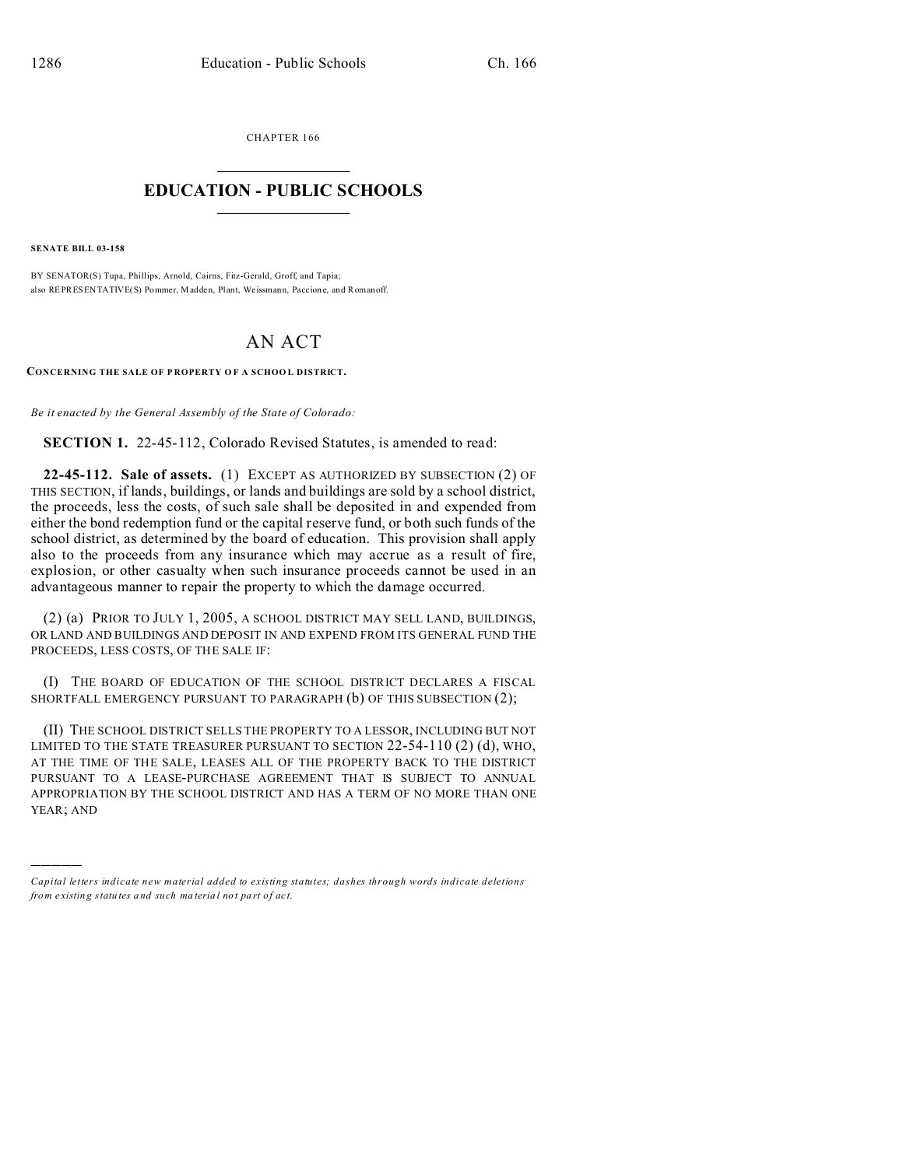CHAPTER 166  $\overline{\phantom{a}}$  , where  $\overline{\phantom{a}}$ 

## **EDUCATION - PUBLIC SCHOOLS**  $\_$   $\_$   $\_$   $\_$   $\_$   $\_$   $\_$   $\_$   $\_$

**SENATE BILL 03-158**

)))))

BY SENATOR(S) Tupa, Phillips, Arnold, Cairns, Fitz-Gerald, Groff, and Tapia; also REPRESENTATIVE(S) Pommer, Madden, Plant, Weissmann, Paccion e, and Romanoff.

## AN ACT

**CONCERNING THE SALE OF P ROPERTY O F A SCHOO L DISTRICT.**

*Be it enacted by the General Assembly of the State of Colorado:*

**SECTION 1.** 22-45-112, Colorado Revised Statutes, is amended to read:

**22-45-112. Sale of assets.** (1) EXCEPT AS AUTHORIZED BY SUBSECTION (2) OF THIS SECTION, if lands, buildings, or lands and buildings are sold by a school district, the proceeds, less the costs, of such sale shall be deposited in and expended from either the bond redemption fund or the capital reserve fund, or both such funds of the school district, as determined by the board of education. This provision shall apply also to the proceeds from any insurance which may accrue as a result of fire, explosion, or other casualty when such insurance proceeds cannot be used in an advantageous manner to repair the property to which the damage occurred.

(2) (a) PRIOR TO JULY 1, 2005, A SCHOOL DISTRICT MAY SELL LAND, BUILDINGS, OR LAND AND BUILDINGS AND DEPOSIT IN AND EXPEND FROM ITS GENERAL FUND THE PROCEEDS, LESS COSTS, OF THE SALE IF:

(I) THE BOARD OF EDUCATION OF THE SCHOOL DISTRICT DECLARES A FISCAL SHORTFALL EMERGENCY PURSUANT TO PARAGRAPH (b) OF THIS SUBSECTION (2);

(II) THE SCHOOL DISTRICT SELLS THE PROPERTY TO A LESSOR, INCLUDING BUT NOT LIMITED TO THE STATE TREASURER PURSUANT TO SECTION  $22-54-110(2)(d)$ , WHO, AT THE TIME OF THE SALE, LEASES ALL OF THE PROPERTY BACK TO THE DISTRICT PURSUANT TO A LEASE-PURCHASE AGREEMENT THAT IS SUBJECT TO ANNUAL APPROPRIATION BY THE SCHOOL DISTRICT AND HAS A TERM OF NO MORE THAN ONE YEAR; AND

*Capital letters indicate new material added to existing statutes; dashes through words indicate deletions from e xistin g statu tes a nd such ma teria l no t pa rt of ac t.*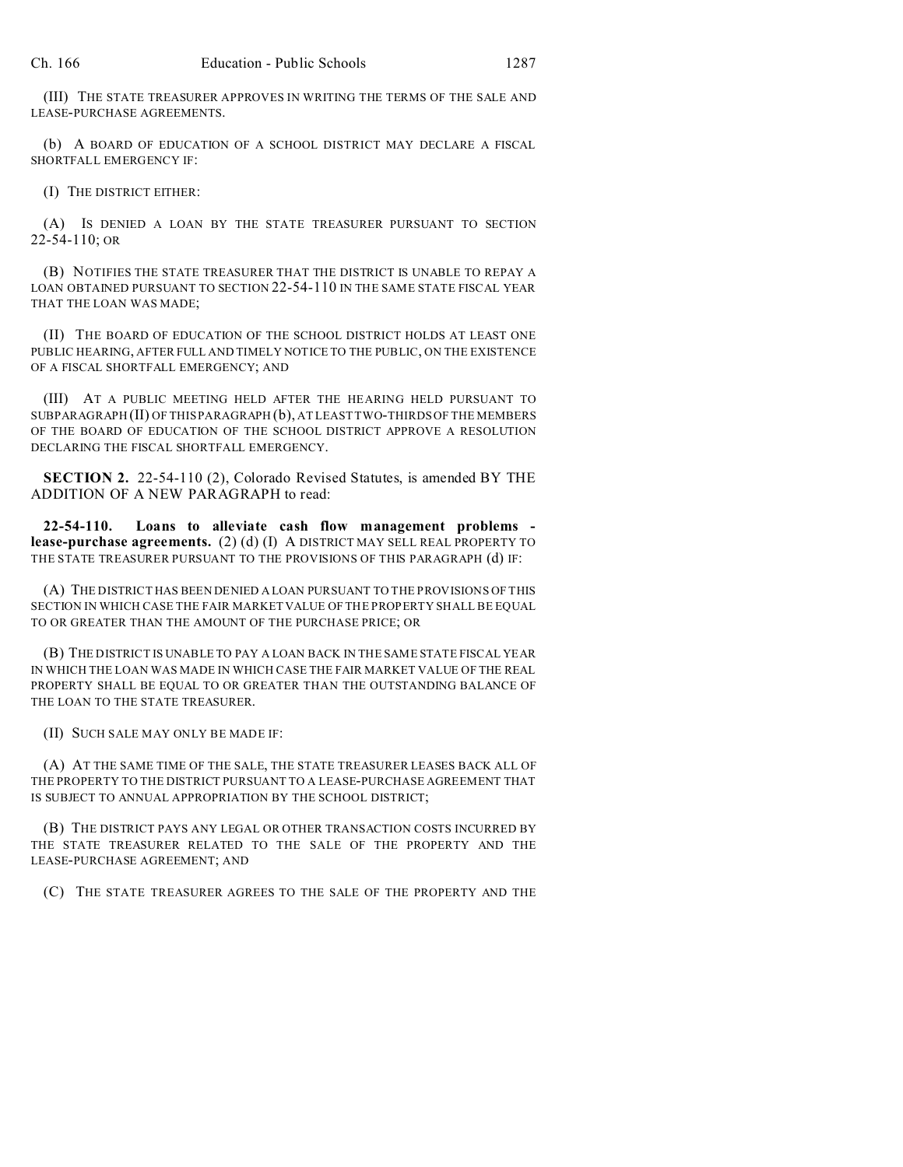(III) THE STATE TREASURER APPROVES IN WRITING THE TERMS OF THE SALE AND LEASE-PURCHASE AGREEMENTS.

(b) A BOARD OF EDUCATION OF A SCHOOL DISTRICT MAY DECLARE A FISCAL SHORTFALL EMERGENCY IF:

(I) THE DISTRICT EITHER:

(A) IS DENIED A LOAN BY THE STATE TREASURER PURSUANT TO SECTION 22-54-110; OR

(B) NOTIFIES THE STATE TREASURER THAT THE DISTRICT IS UNABLE TO REPAY A LOAN OBTAINED PURSUANT TO SECTION 22-54-110 IN THE SAME STATE FISCAL YEAR THAT THE LOAN WAS MADE;

(II) THE BOARD OF EDUCATION OF THE SCHOOL DISTRICT HOLDS AT LEAST ONE PUBLIC HEARING, AFTER FULL AND TIMELY NOTICE TO THE PUBLIC, ON THE EXISTENCE OF A FISCAL SHORTFALL EMERGENCY; AND

(III) AT A PUBLIC MEETING HELD AFTER THE HEARING HELD PURSUANT TO SUBPARAGRAPH (II) OF THIS PARAGRAPH (b), AT LEAST TWO-THIRDS OF THE MEMBERS OF THE BOARD OF EDUCATION OF THE SCHOOL DISTRICT APPROVE A RESOLUTION DECLARING THE FISCAL SHORTFALL EMERGENCY.

**SECTION 2.** 22-54-110 (2), Colorado Revised Statutes, is amended BY THE ADDITION OF A NEW PARAGRAPH to read:

**22-54-110. Loans to alleviate cash flow management problems lease-purchase agreements.** (2) (d) (I) A DISTRICT MAY SELL REAL PROPERTY TO THE STATE TREASURER PURSUANT TO THE PROVISIONS OF THIS PARAGRAPH (d) IF:

(A) THE DISTRICT HAS BEEN DENIED A LOAN PURSUANT TO THE PROVISIONS OF THIS SECTION IN WHICH CASE THE FAIR MARKET VALUE OF THE PROPERTY SHALL BE EQUAL TO OR GREATER THAN THE AMOUNT OF THE PURCHASE PRICE; OR

(B) THE DISTRICT IS UNABLE TO PAY A LOAN BACK IN THE SAME STATE FISCAL YEAR IN WHICH THE LOAN WAS MADE IN WHICH CASE THE FAIR MARKET VALUE OF THE REAL PROPERTY SHALL BE EQUAL TO OR GREATER THAN THE OUTSTANDING BALANCE OF THE LOAN TO THE STATE TREASURER.

(II) SUCH SALE MAY ONLY BE MADE IF:

(A) AT THE SAME TIME OF THE SALE, THE STATE TREASURER LEASES BACK ALL OF THE PROPERTY TO THE DISTRICT PURSUANT TO A LEASE-PURCHASE AGREEMENT THAT IS SUBJECT TO ANNUAL APPROPRIATION BY THE SCHOOL DISTRICT;

(B) THE DISTRICT PAYS ANY LEGAL OR OTHER TRANSACTION COSTS INCURRED BY THE STATE TREASURER RELATED TO THE SALE OF THE PROPERTY AND THE LEASE-PURCHASE AGREEMENT; AND

(C) THE STATE TREASURER AGREES TO THE SALE OF THE PROPERTY AND THE